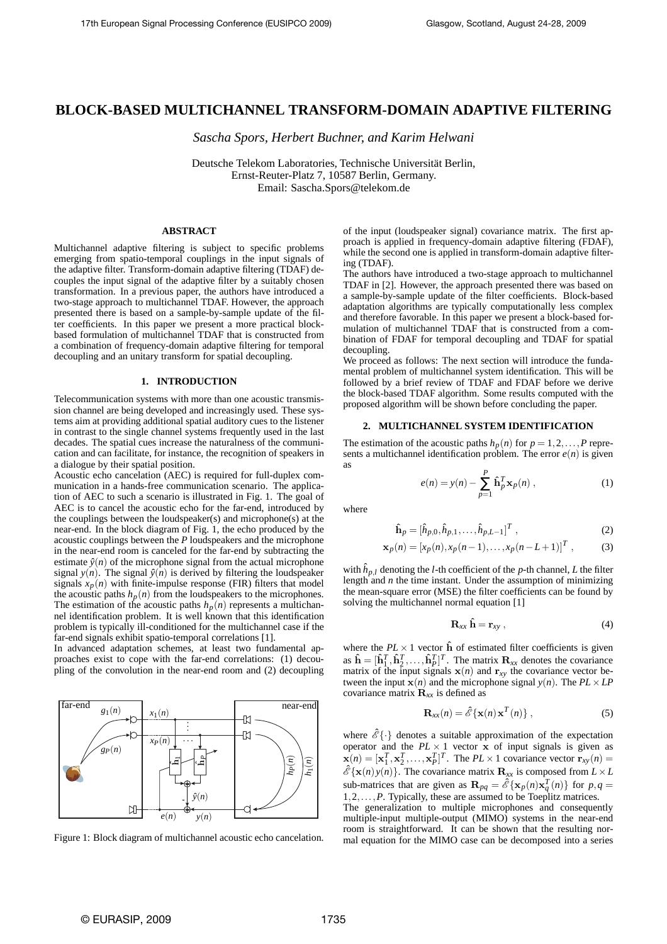# **BLOCK-BASED MULTICHANNEL TRANSFORM-DOMAIN ADAPTIVE FILTERING**

*Sascha Spors, Herbert Buchner, and Karim Helwani*

Deutsche Telekom Laboratories, Technische Universität Berlin, Ernst-Reuter-Platz 7, 10587 Berlin, Germany. Email: Sascha.Spors@telekom.de

## **ABSTRACT**

Multichannel adaptive filtering is subject to specific problems emerging from spatio-temporal couplings in the input signals of the adaptive filter. Transform-domain adaptive filtering (TDAF) decouples the input signal of the adaptive filter by a suitably chosen transformation. In a previous paper, the authors have introduced a two-stage approach to multichannel TDAF. However, the approach presented there is based on a sample-by-sample update of the filter coefficients. In this paper we present a more practical blockbased formulation of multichannel TDAF that is constructed from a combination of frequency-domain adaptive filtering for temporal decoupling and an unitary transform for spatial decoupling.

## **1. INTRODUCTION**

Telecommunication systems with more than one acoustic transmission channel are being developed and increasingly used. These systems aim at providing additional spatial auditory cues to the listener in contrast to the single channel systems frequently used in the last decades. The spatial cues increase the naturalness of the communication and can facilitate, for instance, the recognition of speakers in a dialogue by their spatial position.

Acoustic echo cancelation (AEC) is required for full-duplex communication in a hands-free communication scenario. The application of AEC to such a scenario is illustrated in Fig. 1. The goal of AEC is to cancel the acoustic echo for the far-end, introduced by the couplings between the loudspeaker(s) and microphone(s) at the near-end. In the block diagram of Fig. 1, the echo produced by the acoustic couplings between the *P* loudspeakers and the microphone in the near-end room is canceled for the far-end by subtracting the estimate  $\hat{y}(n)$  of the microphone signal from the actual microphone signal  $y(n)$ . The signal  $\hat{y}(n)$  is derived by filtering the loudspeaker signals  $x_p(n)$  with finite-impulse response (FIR) filters that model the acoustic paths  $h_p(n)$  from the loudspeakers to the microphones. The estimation of the acoustic paths  $h_p(n)$  represents a multichannel identification problem. It is well known that this identification problem is typically ill-conditioned for the multichannel case if the far-end signals exhibit spatio-temporal correlations [1].

In advanced adaptation schemes, at least two fundamental approaches exist to cope with the far-end correlations: (1) decoupling of the convolution in the near-end room and (2) decoupling



Figure 1: Block diagram of multichannel acoustic echo cancelation.

of the input (loudspeaker signal) covariance matrix. The first approach is applied in frequency-domain adaptive filtering (FDAF), while the second one is applied in transform-domain adaptive filtering (TDAF).

The authors have introduced a two-stage approach to multichannel TDAF in [2]. However, the approach presented there was based on a sample-by-sample update of the filter coefficients. Block-based adaptation algorithms are typically computationally less complex and therefore favorable. In this paper we present a block-based formulation of multichannel TDAF that is constructed from a combination of FDAF for temporal decoupling and TDAF for spatial decoupling.

We proceed as follows: The next section will introduce the fundamental problem of multichannel system identification. This will be followed by a brief review of TDAF and FDAF before we derive the block-based TDAF algorithm. Some results computed with the proposed algorithm will be shown before concluding the paper.

#### **2. MULTICHANNEL SYSTEM IDENTIFICATION**

The estimation of the acoustic paths  $h_p(n)$  for  $p = 1, 2, \ldots, P$  represents a multichannel identification problem. The error  $e(n)$  is given as

$$
e(n) = y(n) - \sum_{p=1}^{P} \hat{\mathbf{h}}_p^T \mathbf{x}_p(n) , \qquad (1)
$$

where

$$
\hat{\mathbf{h}}_p = [\hat{h}_{p,0}, \hat{h}_{p,1}, \dots, \hat{h}_{p,L-1}]^T ,
$$
\n(2)

$$
\mathbf{x}_p(n) = [x_p(n), x_p(n-1), \dots, x_p(n-L+1)]^T , \qquad (3)
$$

with  $\hat{h}_{p,l}$  denoting the *l*-th coefficient of the *p*-th channel, *L* the filter length and *n* the time instant. Under the assumption of minimizing the mean-square error (MSE) the filter coefficients can be found by solving the multichannel normal equation [1]

$$
\mathbf{R}_{xx}\,\hat{\mathbf{h}} = \mathbf{r}_{xy}\,,\tag{4}
$$

where the  $PL \times 1$  vector  $\hat{h}$  of estimated filter coefficients is given as  $\hat{\mathbf{h}} = [\hat{\mathbf{h}}_1^T, \hat{\mathbf{h}}_2^T, \dots, \hat{\mathbf{h}}_p^T]^T$ . The matrix  $\mathbf{R}_{xx}$  denotes the covariance matrix of the input signals  $\mathbf{x}(n)$  and  $\mathbf{r}_{xy}$  the covariance vector between the input  $\mathbf{x}(n)$  and the microphone signal  $y(n)$ . The  $PL \times LP$ covariance matrix  $\mathbf{R}_{xx}$  is defined as

$$
\mathbf{R}_{xx}(n) = \hat{\mathscr{E}} \{ \mathbf{x}(n) \mathbf{x}^T(n) \}, \qquad (5)
$$

where  $\hat{\mathscr{E}}\{\cdot\}$  denotes a suitable approximation of the expectation operator and the *PL* × 1 vector **x** of input signals is given as  $\mathbf{x}(n) = [\mathbf{x}_1^T, \mathbf{x}_2^T, \dots, \mathbf{x}_P^T]^T$ . The *PL* × 1 covariance vector  $\mathbf{r}_{xy}(n) =$  $\hat{\mathscr{E}}\{\mathbf{x}(n)y(n)\}\)$ . The covariance matrix  $\mathbf{R}_{xx}$  is composed from  $L \times L$ sub-matrices that are given as  $\mathbf{R}_{pq} = \hat{\mathcal{E}} \{ \mathbf{x}_p(n) \mathbf{x}_q^T(n) \}$  for  $p, q =$ 1,2,...,*P*. Typically, these are assumed to be Toeplitz matrices.

The generalization to multiple microphones and consequently multiple-input multiple-output (MIMO) systems in the near-end room is straightforward. It can be shown that the resulting normal equation for the MIMO case can be decomposed into a series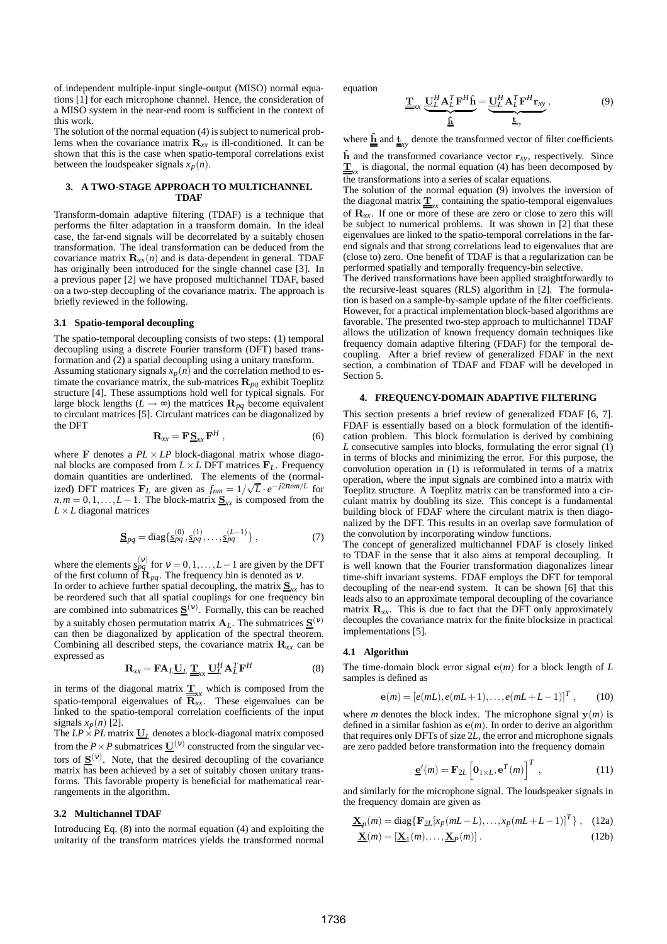of independent multiple-input single-output (MISO) normal equations [1] for each microphone channel. Hence, the consideration of a MISO system in the near-end room is sufficient in the context of this work.

The solution of the normal equation (4) is subject to numerical problems when the covariance matrix  $\mathbf{R}_{xx}$  is ill-conditioned. It can be shown that this is the case when spatio-temporal correlations exist between the loudspeaker signals  $x_p(n)$ .

## **3. A TWO-STAGE APPROACH TO MULTICHANNEL TDAF**

Transform-domain adaptive filtering (TDAF) is a technique that performs the filter adaptation in a transform domain. In the ideal case, the far-end signals will be decorrelated by a suitably chosen transformation. The ideal transformation can be deduced from the covariance matrix  $\mathbf{R}_{xx}(n)$  and is data-dependent in general. TDAF has originally been introduced for the single channel case [3]. In a previous paper [2] we have proposed multichannel TDAF, based on a two-step decoupling of the covariance matrix. The approach is briefly reviewed in the following.

#### **3.1 Spatio-temporal decoupling**

The spatio-temporal decoupling consists of two steps: (1) temporal decoupling using a discrete Fourier transform (DFT) based transformation and (2) a spatial decoupling using a unitary transform.

Assuming stationary signals  $x_p(n)$  and the correlation method to estimate the covariance matrix, the sub-matrices  $\mathbf{R}_{pq}$  exhibit Toeplitz structure [4]. These assumptions hold well for typical signals. For large block lengths ( $L \rightarrow \infty$ ) the matrices  $\mathbf{R}_{pq}$  become equivalent to circulant matrices [5]. Circulant matrices can be diagonalized by the DFT

$$
\mathbf{R}_{xx} = \mathbf{F} \mathbf{\underline{S}}_{xx} \mathbf{F}^H , \qquad (6)
$$

where **F** denotes a  $PL \times LP$  block-diagonal matrix whose diagonal blocks are composed from  $L \times L$  DFT matrices  $\mathbf{F}_L$ . Frequency domain quantities are underlined. The elements of the (normalized) DFT matrices  $\mathbf{F}_L$  are given as  $f_{nm} = 1/\sqrt{L} \cdot e^{-j2\pi nm/L}$  for  $n,m = 0,1,...,L-1$ . The block-matrix  $S_{xx}$  is composed from the *L*×*L* diagonal matrices

$$
\underline{\mathbf{S}}_{pq} = \text{diag}\{\underline{s}_{pq}^{(0)}, \underline{s}_{pq}^{(1)}, \dots, \underline{s}_{pq}^{(L-1)}\},\tag{7}
$$

where the elements  $\frac{s_{pq}}{s_{pq}}$  for  $v = 0, 1, ..., L-1$  are given by the DFT of the first column of  $\mathbf{R}_{pq}$ . The frequency bin is denoted as *v*.

In order to achieve further spatial decoupling, the matrix  $S_{xx}$  has to be reordered such that all spatial couplings for one frequency bin are combined into submatrices  $\underline{S}^{(v)}$ . Formally, this can be reached by a suitably chosen permutation matrix  $A_L$ . The submatrices  $S^{(v)}$ can then be diagonalized by application of the spectral theorem. Combining all described steps, the covariance matrix R*xx* can be expressed as

$$
\mathbf{R}_{xx} = \mathbf{F} \mathbf{A}_L \underline{\mathbf{U}}_L \underline{\mathbf{T}}_{xx} \underline{\mathbf{U}}_L^H \mathbf{A}_L^T \mathbf{F}^H
$$
 (8)

in terms of the diagonal matrix  $\underline{\underline{T}}_{xx}$  which is composed from the spatio-temporal eigenvalues of  $\mathbf{R}_{xx}$ . These eigenvalues can be linked to the spatio-temporal correlation coefficients of the input signals  $x_p(n)$  [2].

The  $LP \times PL$  matrix  $U_L$  denotes a block-diagonal matrix composed from the  $P \times P$  submatrices  $\underline{U}^{(v)}$  constructed from the singular vectors of  $S^{(v)}$ . Note, that the desired decoupling of the covariance matrix has been achieved by a set of suitably chosen unitary transforms. This favorable property is beneficial for mathematical rearrangements in the algorithm.

### **3.2 Multichannel TDAF**

Introducing Eq. (8) into the normal equation (4) and exploiting the unitarity of the transform matrices yields the transformed normal equation

$$
\underline{\underline{\mathbf{T}}}_{xx} \underbrace{\underline{\mathbf{U}}_L^H \mathbf{A}_L^T \mathbf{F}^H \hat{\mathbf{h}}}_{\underline{\underline{\hat{\mathbf{h}}}}} = \underbrace{\underline{\mathbf{U}}_L^H \mathbf{A}_L^T \mathbf{F}^H \mathbf{r}_{xy}}_{\underline{\underline{\hat{\mathbf{h}}}}_{yy}},
$$
(9)

where  $\underline{\hat{\mathbf{h}}}$  and  $\underline{\mathbf{t}}_{xy}$  denote the transformed vector of filter coefficients

 $\hat{\mathbf{h}}$  and the transformed covariance vector  $\mathbf{r}_{xy}$ , respectively. Since  $\underline{\mathbf{T}}_{xx}$  is diagonal, the normal equation (4) has been decomposed by  $\frac{dS}{dt}$  transformations into a series of scalar equations.

The solution of the normal equation (9) involves the inversion of the diagonal matrix  $\underline{\mathbf{T}}_{xx}$  containing the spatio-temporal eigenvalues of  $\mathbf{R}_{xx}$ . If one or more of these are zero or close to zero this will be subject to numerical problems. It was shown in [2] that these eigenvalues are linked to the spatio-temporal correlations in the farend signals and that strong correlations lead to eigenvalues that are (close to) zero. One benefit of TDAF is that a regularization can be performed spatially and temporally frequency-bin selective.

The derived transformations have been applied straightforwardly to the recursive-least squares (RLS) algorithm in [2]. The formulation is based on a sample-by-sample update of the filter coefficients. However, for a practical implementation block-based algorithms are favorable. The presented two-step approach to multichannel TDAF allows the utilization of known frequency domain techniques like frequency domain adaptive filtering (FDAF) for the temporal decoupling. After a brief review of generalized FDAF in the next section, a combination of TDAF and FDAF will be developed in Section 5.

## **4. FREQUENCY-DOMAIN ADAPTIVE FILTERING**

This section presents a brief review of generalized FDAF [6, 7]. FDAF is essentially based on a block formulation of the identification problem. This block formulation is derived by combining *L* consecutive samples into blocks, formulating the error signal (1) in terms of blocks and minimizing the error. For this purpose, the convolution operation in (1) is reformulated in terms of a matrix operation, where the input signals are combined into a matrix with Toeplitz structure. A Toeplitz matrix can be transformed into a circulant matrix by doubling its size. This concept is a fundamental building block of FDAF where the circulant matrix is then diagonalized by the DFT. This results in an overlap save formulation of the convolution by incorporating window functions.

The concept of generalized multichannel FDAF is closely linked to TDAF in the sense that it also aims at temporal decoupling. It is well known that the Fourier transformation diagonalizes linear time-shift invariant systems. FDAF employs the DFT for temporal decoupling of the near-end system. It can be shown [6] that this leads also to an approximate temporal decoupling of the covariance matrix  $\mathbf{R}_{xx}$ . This is due to fact that the DFT only approximately decouples the covariance matrix for the finite blocksize in practical implementations [5].

## **4.1 Algorithm**

The time-domain block error signal e(*m*) for a block length of *L* samples is defined as

$$
\mathbf{e}(m) = [e(mL), e(mL+1), \dots, e(mL+L-1)]^T, \qquad (10)
$$

where *m* denotes the block index. The microphone signal  $y(m)$  is defined in a similar fashion as  $e(m)$ . In order to derive an algorithm that requires only DFTs of size 2*L*, the error and microphone signals are zero padded before transformation into the frequency domain

$$
\underline{\mathbf{e}}'(m) = \mathbf{F}_{2L} \left[ \mathbf{0}_{1 \times L}, \mathbf{e}^{T}(m) \right]^{T}, \qquad (11)
$$

and similarly for the microphone signal. The loudspeaker signals in the frequency domain are given as

$$
\underline{\mathbf{X}}_p(m) = \text{diag}\{\mathbf{F}_{2L}[x_p(mL-L), \dots, x_p(mL+L-1)]^T\}, \quad (12a)
$$

$$
\underline{\mathbf{X}}(m) = [\underline{\mathbf{X}}_1(m), \dots, \underline{\mathbf{X}}_P(m)] \,. \tag{12b}
$$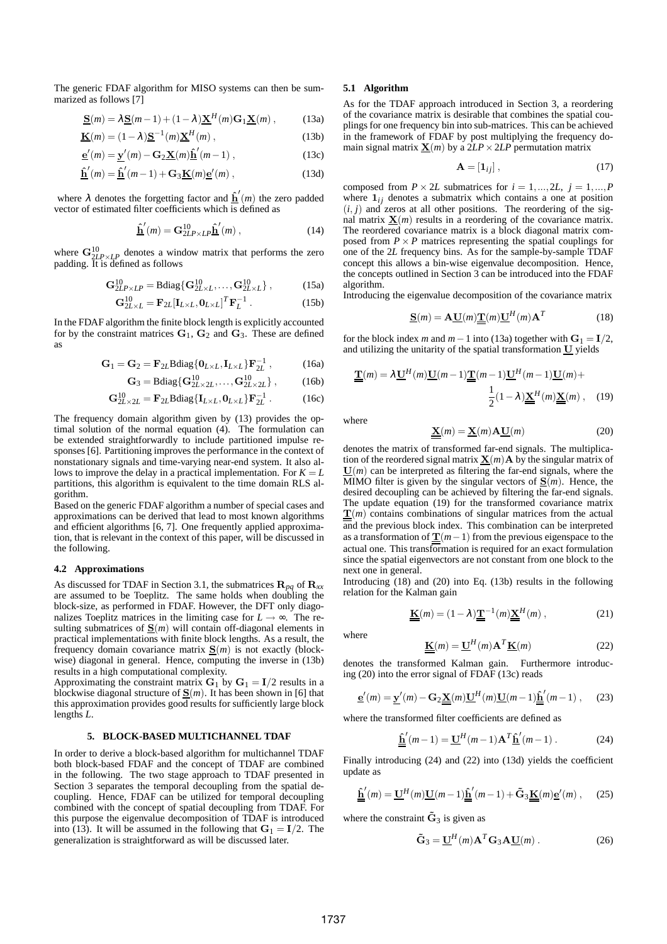The generic FDAF algorithm for MISO systems can then be summarized as follows [7]

$$
\underline{\mathbf{S}}(m) = \lambda \underline{\mathbf{S}}(m-1) + (1 - \lambda) \underline{\mathbf{X}}^H(m) \mathbf{G}_1 \underline{\mathbf{X}}(m) , \qquad (13a)
$$

$$
\underline{\mathbf{K}}(m) = (1 - \lambda)\underline{\mathbf{S}}^{-1}(m)\underline{\mathbf{X}}^{H}(m) ,
$$
 (13b)

$$
\underline{\mathbf{e}}'(m) = \underline{\mathbf{y}}'(m) - \mathbf{G}_2 \underline{\mathbf{X}}(m) \underline{\hat{\mathbf{h}}}'(m-1) ,
$$
 (13c)

$$
\underline{\hat{\mathbf{h}}}'(m) = \underline{\hat{\mathbf{h}}}'(m-1) + \mathbf{G}_3 \underline{\mathbf{K}}(m) \underline{\mathbf{e}}'(m) , \qquad (13d)
$$

where  $\lambda$  denotes the forgetting factor and  $\hat{\mathbf{h}}'(m)$  the zero padded vector of estimated filter coefficients which is defined as

$$
\underline{\hat{\mathbf{h}}}'(m) = \mathbf{G}_{2LP \times LP}^{10} \underline{\hat{\mathbf{h}}}'(m) , \qquad (14)
$$

where  $\mathbf{G}^{10}_{2LP\times LP}$  denotes a window matrix that performs the zero padding. It is defined as follows

$$
\mathbf{G}_{2LP \times LP}^{10} = \text{Bdiag}\{\mathbf{G}_{2L \times L}^{10}, \dots, \mathbf{G}_{2L \times L}^{10}\},\qquad(15a)
$$

$$
\mathbf{G}_{2L\times L}^{10} = \mathbf{F}_{2L} [\mathbf{I}_{L\times L}, \mathbf{0}_{L\times L}]^{T} \mathbf{F}_{L}^{-1} . \qquad (15b)
$$

In the FDAF algorithm the finite block length is explicitly accounted for by the constraint matrices  $G_1$ ,  $G_2$  and  $G_3$ . These are defined as

$$
\mathbf{G}_1 = \mathbf{G}_2 = \mathbf{F}_{2L} \text{Bdiag}\{\mathbf{0}_{L \times L}, \mathbf{I}_{L \times L}\} \mathbf{F}_{2L}^{-1},\tag{16a}
$$

$$
\mathbf{G}_3 = \text{Bdiag}\{\mathbf{G}_{2L \times 2L}^{10}, \dots, \mathbf{G}_{2L \times 2L}^{10}\},\qquad(16b)
$$

$$
\mathbf{G}_{2L \times 2L}^{10} = \mathbf{F}_{2L} \text{Bdiag}\{\mathbf{I}_{L \times L}, \mathbf{0}_{L \times L}\} \mathbf{F}_{2L}^{-1} \,. \tag{16c}
$$

The frequency domain algorithm given by (13) provides the optimal solution of the normal equation (4). The formulation can be extended straightforwardly to include partitioned impulse responses [6]. Partitioning improves the performance in the context of nonstationary signals and time-varying near-end system. It also allows to improve the delay in a practical implementation. For  $K = L$ partitions, this algorithm is equivalent to the time domain RLS algorithm.

Based on the generic FDAF algorithm a number of special cases and approximations can be derived that lead to most known algorithms and efficient algorithms [6, 7]. One frequently applied approximation, that is relevant in the context of this paper, will be discussed in the following.

#### **4.2 Approximations**

As discussed for TDAF in Section 3.1, the submatrices R*pq* of R*xx* are assumed to be Toeplitz. The same holds when doubling the block-size, as performed in FDAF. However, the DFT only diagonalizes Toeplitz matrices in the limiting case for  $L \rightarrow \infty$ . The resulting submatrices of  $S(m)$  will contain off-diagonal elements in practical implementations with finite block lengths. As a result, the frequency domain covariance matrix  $S(m)$  is not exactly (blockwise) diagonal in general. Hence, computing the inverse in (13b) results in a high computational complexity.

Approximating the constraint matrix  $G_1$  by  $G_1 = I/2$  results in a blockwise diagonal structure of  $\underline{\mathbf{S}}(m)$ . It has been shown in [6] that this approximation provides good results for sufficiently large block lengths *L*.

### **5. BLOCK-BASED MULTICHANNEL TDAF**

In order to derive a block-based algorithm for multichannel TDAF both block-based FDAF and the concept of TDAF are combined in the following. The two stage approach to TDAF presented in Section 3 separates the temporal decoupling from the spatial decoupling. Hence, FDAF can be utilized for temporal decoupling combined with the concept of spatial decoupling from TDAF. For this purpose the eigenvalue decomposition of TDAF is introduced into (13). It will be assumed in the following that  $G_1 = I/2$ . The generalization is straightforward as will be discussed later.

#### **5.1 Algorithm**

As for the TDAF approach introduced in Section 3, a reordering of the covariance matrix is desirable that combines the spatial couplings for one frequency bin into sub-matrices. This can be achieved in the framework of FDAF by post multiplying the frequency domain signal matrix  $\underline{\mathbf{X}}(m)$  by a  $2LP \times 2LP$  permutation matrix

$$
\mathbf{A} = \begin{bmatrix} \mathbf{1}_{ij} \end{bmatrix},\tag{17}
$$

composed from  $P \times 2L$  submatrices for  $i = 1, ..., 2L, j = 1, ..., P$ where  $\mathbf{1}_{ij}$  denotes a submatrix which contains a one at position  $(i, j)$  and zeros at all other positions. The reordering of the signal matrix  $\underline{\mathbf{X}}(m)$  results in a reordering of the covariance matrix. The reordered covariance matrix is a block diagonal matrix composed from  $P \times P$  matrices representing the spatial couplings for one of the 2*L* frequency bins. As for the sample-by-sample TDAF concept this allows a bin-wise eigenvalue decomposition. Hence, the concepts outlined in Section 3 can be introduced into the FDAF algorithm.

Introducing the eigenvalue decomposition of the covariance matrix

$$
\underline{\mathbf{S}}(m) = \mathbf{A}\underline{\mathbf{U}}(m)\underline{\mathbf{T}}(m)\underline{\mathbf{U}}^H(m)\mathbf{A}^T
$$
 (18)

for the block index *m* and  $m-1$  into (13a) together with  $G_1 = I/2$ , and utilizing the unitarity of the spatial transformation  $U$  yields

$$
\underline{\underline{\underline{\mathbf{T}}}}(m) = \lambda \underline{\underline{\mathbf{U}}}^H(m) \underline{\underline{\mathbf{U}}}(m-1) \underline{\underline{\mathbf{T}}}(m-1) \underline{\underline{\mathbf{U}}}^H(m-1) \underline{\underline{\mathbf{U}}}^H(m) +
$$

$$
\frac{1}{2} (1 - \lambda) \underline{\underline{\mathbf{X}}}^H(m) \underline{\underline{\mathbf{X}}}(m) , \quad (19)
$$

where

$$
\underline{\mathbf{X}}(m) = \underline{\mathbf{X}}(m) \mathbf{A} \underline{\mathbf{U}}(m) \tag{20}
$$

denotes the matrix of transformed far-end signals. The multiplication of the reordered signal matrix  $\underline{\mathbf{X}}(m)$  **A** by the singular matrix of  $\underline{U}(m)$  can be interpreted as filtering the far-end signals, where the MIMO filter is given by the singular vectors of  $S(m)$ . Hence, the desired decoupling can be achieved by filtering the far-end signals. The update equation (19) for the transformed covariance matrix  $\underline{\mathbf{T}}(m)$  contains combinations of singular matrices from the actual and the previous block index. This combination can be interpreted as a transformation of  $\underline{\mathbf{T}}(m-1)$  from the previous eigenspace to the actual one. This transformation is required for an exact formulation since the spatial eigenvectors are not constant from one block to the next one in general.

Introducing (18) and (20) into Eq. (13b) results in the following relation for the Kalman gain

$$
\underline{\underline{\mathbf{K}}}(m) = (1 - \lambda) \underline{\underline{\mathbf{T}}}^{-1}(m) \underline{\underline{\mathbf{X}}}^{H}(m) ,
$$
 (21)

where

$$
\underline{\underline{\mathbf{K}}}(m) = \underline{\mathbf{U}}^H(m) \mathbf{A}^T \underline{\mathbf{K}}(m)
$$
 (22)

denotes the transformed Kalman gain. Furthermore introducing (20) into the error signal of FDAF (13c) reads

$$
\underline{\mathbf{e}}'(m) = \underline{\mathbf{y}}'(m) - \mathbf{G}_2 \underline{\mathbf{X}}(m) \underline{\mathbf{U}}^H(m) \underline{\mathbf{U}}(m-1) \underline{\hat{\mathbf{h}}}'(m-1) , \quad (23)
$$

where the transformed filter coefficients are defined as

$$
\underline{\underline{\hat{\mathbf{h}}}}'(m-1) = \underline{\mathbf{U}}^H(m-1)\mathbf{A}^T \underline{\hat{\mathbf{h}}}'(m-1) \,. \tag{24}
$$

Finally introducing (24) and (22) into (13d) yields the coefficient update as

$$
\underline{\underline{\hat{\mathbf{h}}}}'(m) = \underline{\mathbf{U}}^H(m)\underline{\mathbf{U}}(m-1)\underline{\underline{\hat{\mathbf{h}}}}'(m-1) + \tilde{\mathbf{G}}_3\underline{\underline{\mathbf{K}}}(m)\underline{\mathbf{e}}'(m), \quad (25)
$$

where the constraint  $\tilde{G}_3$  is given as

$$
\tilde{\mathbf{G}}_3 = \underline{\mathbf{U}}^H(m) \mathbf{A}^T \mathbf{G}_3 \mathbf{A} \underline{\mathbf{U}}(m) .
$$
 (26)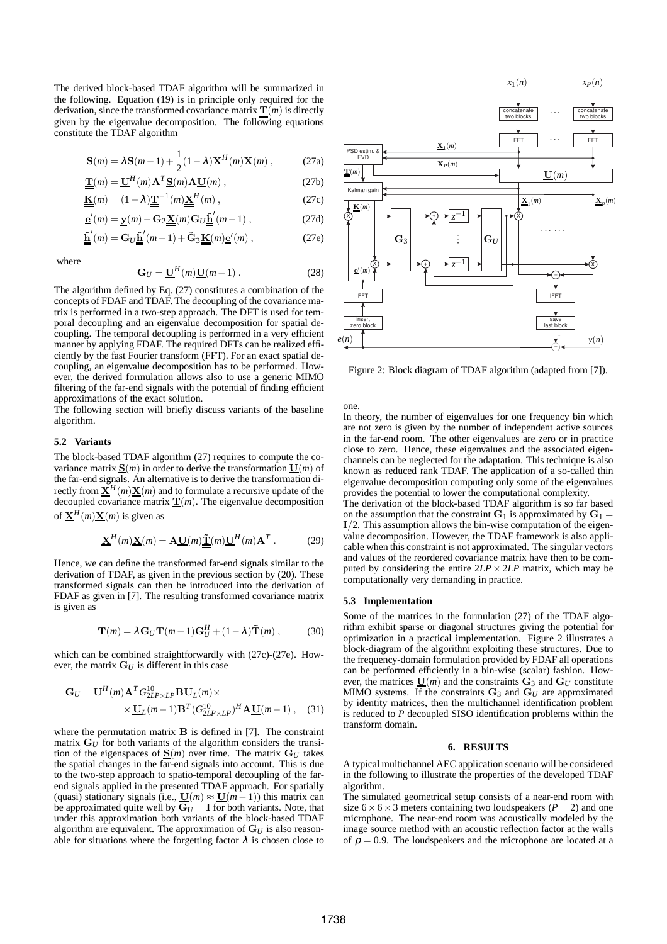The derived block-based TDAF algorithm will be summarized in the following. Equation (19) is in principle only required for the derivation, since the transformed covariance matrix  $\underline{\mathbf{T}}(m)$  is directly given by the eigenvalue decomposition. The following equations constitute the TDAF algorithm

$$
\underline{\mathbf{S}}(m) = \lambda \underline{\mathbf{S}}(m-1) + \frac{1}{2} (1 - \lambda) \underline{\mathbf{X}}^H(m) \underline{\mathbf{X}}(m) ,
$$
 (27a)

$$
\underline{\underline{\mathbf{T}}}(m) = \underline{\mathbf{U}}^{\prime\prime}(m) \mathbf{A}^{\prime} \underline{\mathbf{S}}(m) \mathbf{A} \underline{\mathbf{U}}(m) , \qquad (27b)
$$

$$
\underline{\underline{\mathbf{K}}}(m) = (1 - \lambda) \underline{\underline{\mathbf{T}}}^{-1}(m) \underline{\underline{\mathbf{X}}}^{H}(m), \qquad (27c)
$$

$$
\underline{\mathbf{e}}'(m) = \underline{\mathbf{y}}(m) - \mathbf{G}_2 \underline{\mathbf{X}}(m) \mathbf{G}_U \underline{\hat{\mathbf{h}}}'(m-1) ,
$$
 (27d)

$$
\underline{\underline{\hat{\mathbf{h}}}}'(m) = \mathbf{G}_U \underline{\underline{\hat{\mathbf{h}}}}'(m-1) + \tilde{\mathbf{G}}_3 \underline{\underline{\mathbf{K}}}(m) \underline{\mathbf{e}}'(m) ,\qquad(27e)
$$

where

$$
\mathbf{G}_U = \underline{\mathbf{U}}^H(m)\underline{\mathbf{U}}(m-1) \ . \tag{28}
$$

The algorithm defined by Eq. (27) constitutes a combination of the concepts of FDAF and TDAF. The decoupling of the covariance matrix is performed in a two-step approach. The DFT is used for temporal decoupling and an eigenvalue decomposition for spatial decoupling. The temporal decoupling is performed in a very efficient manner by applying FDAF. The required DFTs can be realized efficiently by the fast Fourier transform (FFT). For an exact spatial decoupling, an eigenvalue decomposition has to be performed. However, the derived formulation allows also to use a generic MIMO filtering of the far-end signals with the potential of finding efficient approximations of the exact solution.

The following section will briefly discuss variants of the baseline algorithm.

### **5.2 Variants**

The block-based TDAF algorithm (27) requires to compute the covariance matrix  $\underline{\mathbf{S}}(m)$  in order to derive the transformation  $\underline{\mathbf{U}}(m)$  of the far-end signals. An alternative is to derive the transformation directly from  $\underline{\mathbf{X}}^H(m)\underline{\mathbf{X}}(m)$  and to formulate a recursive update of the decoupled covariance matrix  $\underline{\mathbf{T}}(m)$ . The eigenvalue decomposition of  $\underline{\mathbf{X}}^H(m)\underline{\mathbf{X}}(m)$  is given as

$$
\underline{\mathbf{X}}^H(m)\underline{\mathbf{X}}(m) = \mathbf{A}\underline{\mathbf{U}}(m)\underline{\tilde{\mathbf{T}}}(m)\underline{\mathbf{U}}^H(m)\mathbf{A}^T.
$$
 (29)

Hence, we can define the transformed far-end signals similar to the derivation of TDAF, as given in the previous section by (20). These transformed signals can then be introduced into the derivation of FDAF as given in [7]. The resulting transformed covariance matrix is given as

$$
\underline{\underline{\mathbf{T}}}(m) = \lambda \mathbf{G}_U \underline{\underline{\mathbf{T}}}(m-1) \mathbf{G}_U^H + (1-\lambda) \underline{\underline{\tilde{\mathbf{T}}}}(m) ,
$$
 (30)

which can be combined straightforwardly with (27c)-(27e). However, the matrix  $G_U$  is different in this case

$$
\mathbf{G}_U = \underline{\mathbf{U}}^H(m)\mathbf{A}^T G_{2LP \times LP}^{10} \mathbf{B} \underline{\mathbf{U}}_L(m) \times
$$
  
 
$$
\times \underline{\mathbf{U}}_L(m-1)\mathbf{B}^T (G_{2LP \times LP}^{10})^H \mathbf{A} \underline{\mathbf{U}}(m-1), \quad (31)
$$

where the permutation matrix  $\bf{B}$  is defined in [7]. The constraint matrix  $G_U$  for both variants of the algorithm considers the transition of the eigenspaces of  $\underline{\mathbf{S}}(m)$  over time. The matrix  $\mathbf{G}_U$  takes the spatial changes in the far-end signals into account. This is due to the two-step approach to spatio-temporal decoupling of the farend signals applied in the presented TDAF approach. For spatially (quasi) stationary signals (i.e.,  $\underline{U}(m) \approx \underline{U}(m-1)$ ) this matrix can be approximated quite well by  $G_U = I$  for both variants. Note, that under this approximation both variants of the block-based TDAF algorithm are equivalent. The approximation of  $\mathbf{G}_U$  is also reasonable for situations where the forgetting factor  $\lambda$  is chosen close to



Figure 2: Block diagram of TDAF algorithm (adapted from [7]).

one.

In theory, the number of eigenvalues for one frequency bin which are not zero is given by the number of independent active sources in the far-end room. The other eigenvalues are zero or in practice close to zero. Hence, these eigenvalues and the associated eigenchannels can be neglected for the adaptation. This technique is also known as reduced rank TDAF. The application of a so-called thin eigenvalue decomposition computing only some of the eigenvalues provides the potential to lower the computational complexity.

The derivation of the block-based TDAF algorithm is so far based on the assumption that the constraint  $G_1$  is approximated by  $G_1 =$  $I/2$ . This assumption allows the bin-wise computation of the eigenvalue decomposition. However, the TDAF framework is also applicable when this constraint is not approximated. The singular vectors and values of the reordered covariance matrix have then to be computed by considering the entire  $2LP \times 2LP$  matrix, which may be computationally very demanding in practice.

#### **5.3 Implementation**

Some of the matrices in the formulation (27) of the TDAF algorithm exhibit sparse or diagonal structures giving the potential for optimization in a practical implementation. Figure 2 illustrates a block-diagram of the algorithm exploiting these structures. Due to the frequency-domain formulation provided by FDAF all operations can be performed efficiently in a bin-wise (scalar) fashion. However, the matrices  $\underline{\mathbf{U}}(m)$  and the constraints  $\mathbf{G}_3$  and  $\mathbf{G}_U$  constitute MIMO systems. If the constraints  $G_3$  and  $G_U$  are approximated by identity matrices, then the multichannel identification problem is reduced to *P* decoupled SISO identification problems within the transform domain.

## **6. RESULTS**

A typical multichannel AEC application scenario will be considered in the following to illustrate the properties of the developed TDAF algorithm.

The simulated geometrical setup consists of a near-end room with size  $6 \times 6 \times 3$  meters containing two loudspeakers ( $P = 2$ ) and one microphone. The near-end room was acoustically modeled by the image source method with an acoustic reflection factor at the walls of  $\rho = 0.9$ . The loudspeakers and the microphone are located at a